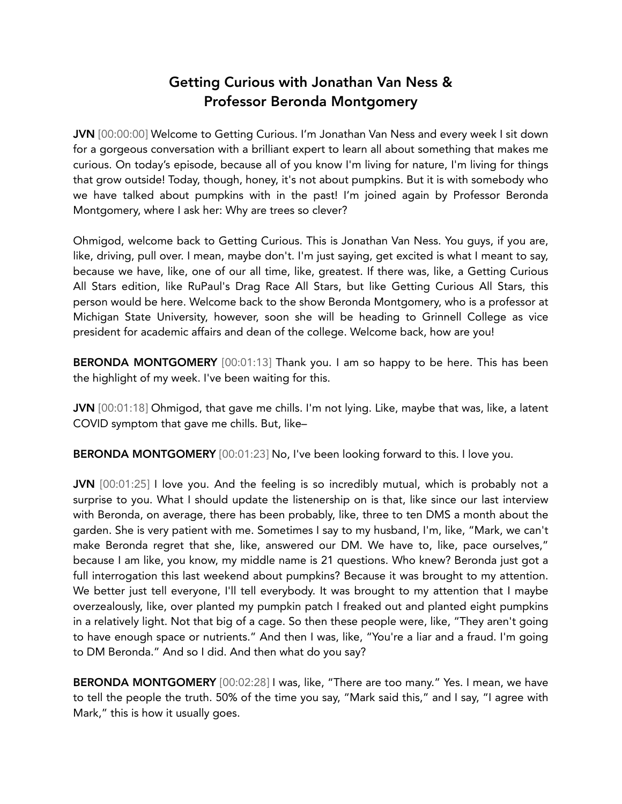# Getting Curious with Jonathan Van Ness & Professor Beronda Montgomery

JVN [00:00:00] Welcome to Getting Curious. I'm Jonathan Van Ness and every week I sit down for a gorgeous conversation with a brilliant expert to learn all about something that makes me curious. On today's episode, because all of you know I'm living for nature, I'm living for things that grow outside! Today, though, honey, it's not about pumpkins. But it is with somebody who we have talked about pumpkins with in the past! I'm joined again by Professor Beronda Montgomery, where I ask her: Why are trees so clever?

Ohmigod, welcome back to Getting Curious. This is Jonathan Van Ness. You guys, if you are, like, driving, pull over. I mean, maybe don't. I'm just saying, get excited is what I meant to say, because we have, like, one of our all time, like, greatest. If there was, like, a Getting Curious All Stars edition, like RuPaul's Drag Race All Stars, but like Getting Curious All Stars, this person would be here. Welcome back to the show Beronda Montgomery, who is a professor at Michigan State University, however, soon she will be heading to Grinnell College as vice president for academic affairs and dean of the college. Welcome back, how are you!

BERONDA MONTGOMERY [00:01:13] Thank you. I am so happy to be here. This has been the highlight of my week. I've been waiting for this.

JVN [00:01:18] Ohmigod, that gave me chills. I'm not lying. Like, maybe that was, like, a latent COVID symptom that gave me chills. But, like–

BERONDA MONTGOMERY [00:01:23] No, I've been looking forward to this. I love you.

JVN [00:01:25] I love you. And the feeling is so incredibly mutual, which is probably not a surprise to you. What I should update the listenership on is that, like since our last interview with Beronda, on average, there has been probably, like, three to ten DMS a month about the garden. She is very patient with me. Sometimes I say to my husband, I'm, like, "Mark, we can't make Beronda regret that she, like, answered our DM. We have to, like, pace ourselves," because I am like, you know, my middle name is 21 questions. Who knew? Beronda just got a full interrogation this last weekend about pumpkins? Because it was brought to my attention. We better just tell everyone, I'll tell everybody. It was brought to my attention that I maybe overzealously, like, over planted my pumpkin patch I freaked out and planted eight pumpkins in a relatively light. Not that big of a cage. So then these people were, like, "They aren't going to have enough space or nutrients." And then I was, like, "You're a liar and a fraud. I'm going to DM Beronda." And so I did. And then what do you say?

BERONDA MONTGOMERY [00:02:28] I was, like, "There are too many." Yes. I mean, we have to tell the people the truth. 50% of the time you say, "Mark said this," and I say, "I agree with Mark," this is how it usually goes.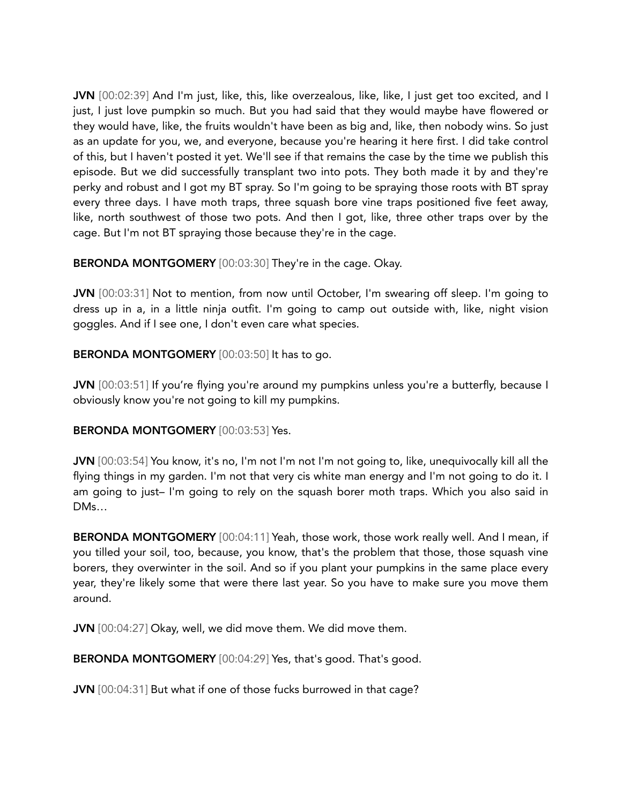JVN [00:02:39] And I'm just, like, this, like overzealous, like, like, I just get too excited, and I just, I just love pumpkin so much. But you had said that they would maybe have flowered or they would have, like, the fruits wouldn't have been as big and, like, then nobody wins. So just as an update for you, we, and everyone, because you're hearing it here first. I did take control of this, but I haven't posted it yet. We'll see if that remains the case by the time we publish this episode. But we did successfully transplant two into pots. They both made it by and they're perky and robust and I got my BT spray. So I'm going to be spraying those roots with BT spray every three days. I have moth traps, three squash bore vine traps positioned five feet away, like, north southwest of those two pots. And then I got, like, three other traps over by the cage. But I'm not BT spraying those because they're in the cage.

BERONDA MONTGOMERY [00:03:30] They're in the cage. Okay.

JVN [00:03:31] Not to mention, from now until October, I'm swearing off sleep. I'm going to dress up in a, in a little ninja outfit. I'm going to camp out outside with, like, night vision goggles. And if I see one, I don't even care what species.

BERONDA MONTGOMERY [00:03:50] It has to go.

JVN [00:03:51] If you're flying you're around my pumpkins unless you're a butterfly, because I obviously know you're not going to kill my pumpkins.

#### BERONDA MONTGOMERY [00:03:53] Yes.

JVN [00:03:54] You know, it's no, I'm not I'm not I'm not going to, like, unequivocally kill all the flying things in my garden. I'm not that very cis white man energy and I'm not going to do it. I am going to just– I'm going to rely on the squash borer moth traps. Which you also said in DMs…

BERONDA MONTGOMERY [00:04:11] Yeah, those work, those work really well. And I mean, if you tilled your soil, too, because, you know, that's the problem that those, those squash vine borers, they overwinter in the soil. And so if you plant your pumpkins in the same place every year, they're likely some that were there last year. So you have to make sure you move them around.

JVN [00:04:27] Okay, well, we did move them. We did move them.

BERONDA MONTGOMERY [00:04:29] Yes, that's good. That's good.

JVN [00:04:31] But what if one of those fucks burrowed in that cage?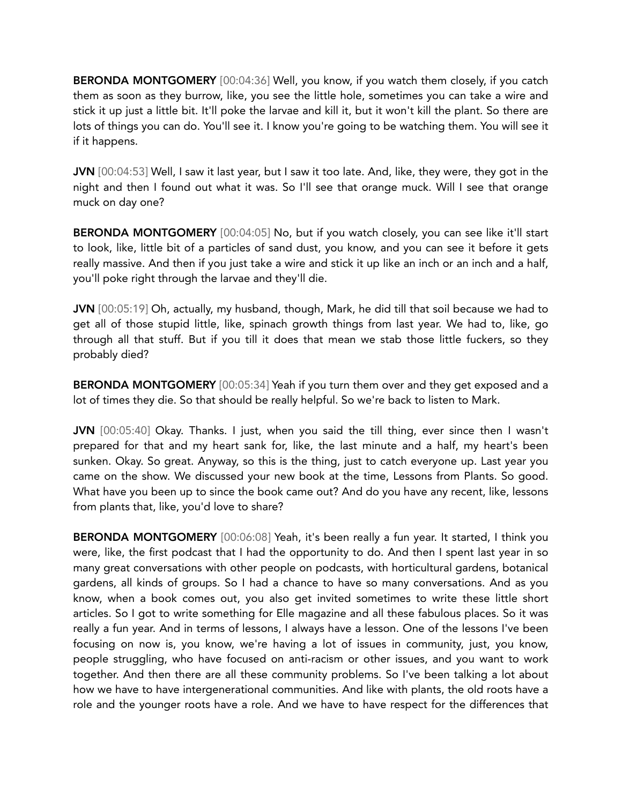BERONDA MONTGOMERY [00:04:36] Well, you know, if you watch them closely, if you catch them as soon as they burrow, like, you see the little hole, sometimes you can take a wire and stick it up just a little bit. It'll poke the larvae and kill it, but it won't kill the plant. So there are lots of things you can do. You'll see it. I know you're going to be watching them. You will see it if it happens.

JVN [00:04:53] Well, I saw it last year, but I saw it too late. And, like, they were, they got in the night and then I found out what it was. So I'll see that orange muck. Will I see that orange muck on day one?

BERONDA MONTGOMERY [00:04:05] No, but if you watch closely, you can see like it'll start to look, like, little bit of a particles of sand dust, you know, and you can see it before it gets really massive. And then if you just take a wire and stick it up like an inch or an inch and a half, you'll poke right through the larvae and they'll die.

JVN [00:05:19] Oh, actually, my husband, though, Mark, he did till that soil because we had to get all of those stupid little, like, spinach growth things from last year. We had to, like, go through all that stuff. But if you till it does that mean we stab those little fuckers, so they probably died?

BERONDA MONTGOMERY [00:05:34] Yeah if you turn them over and they get exposed and a lot of times they die. So that should be really helpful. So we're back to listen to Mark.

JVN [00:05:40] Okay. Thanks. I just, when you said the till thing, ever since then I wasn't prepared for that and my heart sank for, like, the last minute and a half, my heart's been sunken. Okay. So great. Anyway, so this is the thing, just to catch everyone up. Last year you came on the show. We discussed your new book at the time, Lessons from Plants. So good. What have you been up to since the book came out? And do you have any recent, like, lessons from plants that, like, you'd love to share?

BERONDA MONTGOMERY [00:06:08] Yeah, it's been really a fun year. It started, I think you were, like, the first podcast that I had the opportunity to do. And then I spent last year in so many great conversations with other people on podcasts, with horticultural gardens, botanical gardens, all kinds of groups. So I had a chance to have so many conversations. And as you know, when a book comes out, you also get invited sometimes to write these little short articles. So I got to write something for Elle magazine and all these fabulous places. So it was really a fun year. And in terms of lessons, I always have a lesson. One of the lessons I've been focusing on now is, you know, we're having a lot of issues in community, just, you know, people struggling, who have focused on anti-racism or other issues, and you want to work together. And then there are all these community problems. So I've been talking a lot about how we have to have intergenerational communities. And like with plants, the old roots have a role and the younger roots have a role. And we have to have respect for the differences that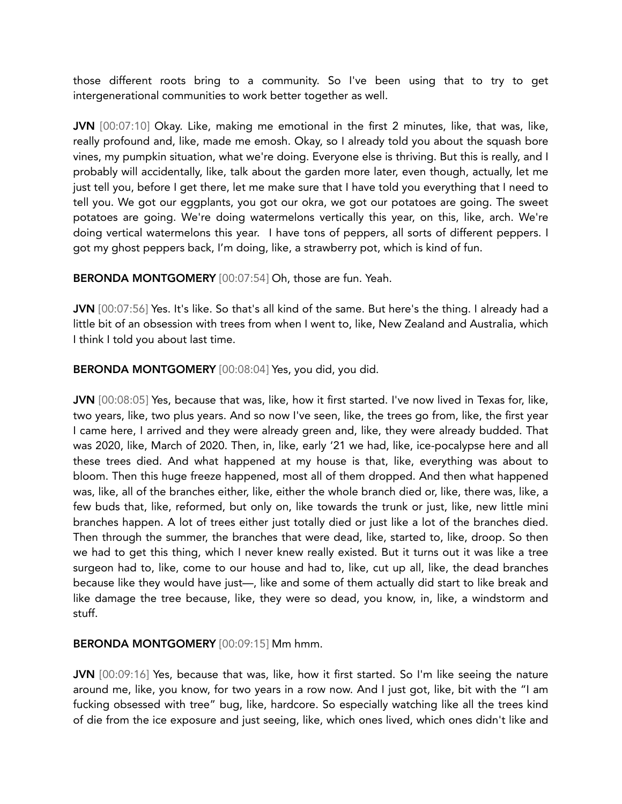those different roots bring to a community. So I've been using that to try to get intergenerational communities to work better together as well.

JVN [00:07:10] Okay. Like, making me emotional in the first 2 minutes, like, that was, like, really profound and, like, made me emosh. Okay, so I already told you about the squash bore vines, my pumpkin situation, what we're doing. Everyone else is thriving. But this is really, and I probably will accidentally, like, talk about the garden more later, even though, actually, let me just tell you, before I get there, let me make sure that I have told you everything that I need to tell you. We got our eggplants, you got our okra, we got our potatoes are going. The sweet potatoes are going. We're doing watermelons vertically this year, on this, like, arch. We're doing vertical watermelons this year. I have tons of peppers, all sorts of different peppers. I got my ghost peppers back, I'm doing, like, a strawberry pot, which is kind of fun.

BERONDA MONTGOMERY [00:07:54] Oh, those are fun. Yeah.

JVN [00:07:56] Yes. It's like. So that's all kind of the same. But here's the thing. I already had a little bit of an obsession with trees from when I went to, like, New Zealand and Australia, which I think I told you about last time.

BERONDA MONTGOMERY [00:08:04] Yes, you did, you did.

JVN [00:08:05] Yes, because that was, like, how it first started. I've now lived in Texas for, like, two years, like, two plus years. And so now I've seen, like, the trees go from, like, the first year I came here, I arrived and they were already green and, like, they were already budded. That was 2020, like, March of 2020. Then, in, like, early '21 we had, like, ice-pocalypse here and all these trees died. And what happened at my house is that, like, everything was about to bloom. Then this huge freeze happened, most all of them dropped. And then what happened was, like, all of the branches either, like, either the whole branch died or, like, there was, like, a few buds that, like, reformed, but only on, like towards the trunk or just, like, new little mini branches happen. A lot of trees either just totally died or just like a lot of the branches died. Then through the summer, the branches that were dead, like, started to, like, droop. So then we had to get this thing, which I never knew really existed. But it turns out it was like a tree surgeon had to, like, come to our house and had to, like, cut up all, like, the dead branches because like they would have just—, like and some of them actually did start to like break and like damage the tree because, like, they were so dead, you know, in, like, a windstorm and stuff.

#### BERONDA MONTGOMERY [00:09:15] Mm hmm.

JVN [00:09:16] Yes, because that was, like, how it first started. So I'm like seeing the nature around me, like, you know, for two years in a row now. And I just got, like, bit with the "I am fucking obsessed with tree" bug, like, hardcore. So especially watching like all the trees kind of die from the ice exposure and just seeing, like, which ones lived, which ones didn't like and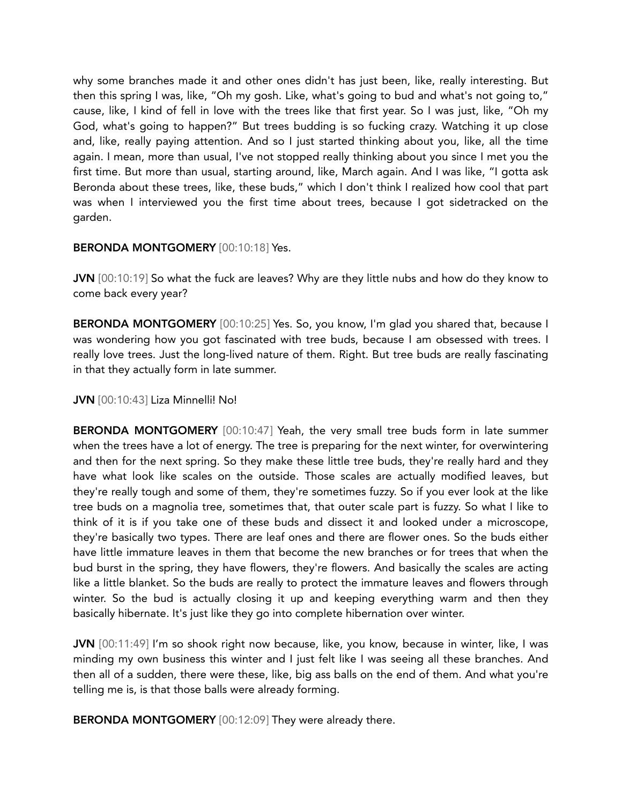why some branches made it and other ones didn't has just been, like, really interesting. But then this spring I was, like, "Oh my gosh. Like, what's going to bud and what's not going to," cause, like, I kind of fell in love with the trees like that first year. So I was just, like, "Oh my God, what's going to happen?" But trees budding is so fucking crazy. Watching it up close and, like, really paying attention. And so I just started thinking about you, like, all the time again. I mean, more than usual, I've not stopped really thinking about you since I met you the first time. But more than usual, starting around, like, March again. And I was like, "I gotta ask Beronda about these trees, like, these buds," which I don't think I realized how cool that part was when I interviewed you the first time about trees, because I got sidetracked on the garden.

## BERONDA MONTGOMERY [00:10:18] Yes.

JVN [00:10:19] So what the fuck are leaves? Why are they little nubs and how do they know to come back every year?

BERONDA MONTGOMERY [00:10:25] Yes. So, you know, I'm glad you shared that, because I was wondering how you got fascinated with tree buds, because I am obsessed with trees. I really love trees. Just the long-lived nature of them. Right. But tree buds are really fascinating in that they actually form in late summer.

JVN [00:10:43] Liza Minnelli! No!

BERONDA MONTGOMERY [00:10:47] Yeah, the very small tree buds form in late summer when the trees have a lot of energy. The tree is preparing for the next winter, for overwintering and then for the next spring. So they make these little tree buds, they're really hard and they have what look like scales on the outside. Those scales are actually modified leaves, but they're really tough and some of them, they're sometimes fuzzy. So if you ever look at the like tree buds on a magnolia tree, sometimes that, that outer scale part is fuzzy. So what I like to think of it is if you take one of these buds and dissect it and looked under a microscope, they're basically two types. There are leaf ones and there are flower ones. So the buds either have little immature leaves in them that become the new branches or for trees that when the bud burst in the spring, they have flowers, they're flowers. And basically the scales are acting like a little blanket. So the buds are really to protect the immature leaves and flowers through winter. So the bud is actually closing it up and keeping everything warm and then they basically hibernate. It's just like they go into complete hibernation over winter.

JVN [00:11:49] I'm so shook right now because, like, you know, because in winter, like, I was minding my own business this winter and I just felt like I was seeing all these branches. And then all of a sudden, there were these, like, big ass balls on the end of them. And what you're telling me is, is that those balls were already forming.

BERONDA MONTGOMERY [00:12:09] They were already there.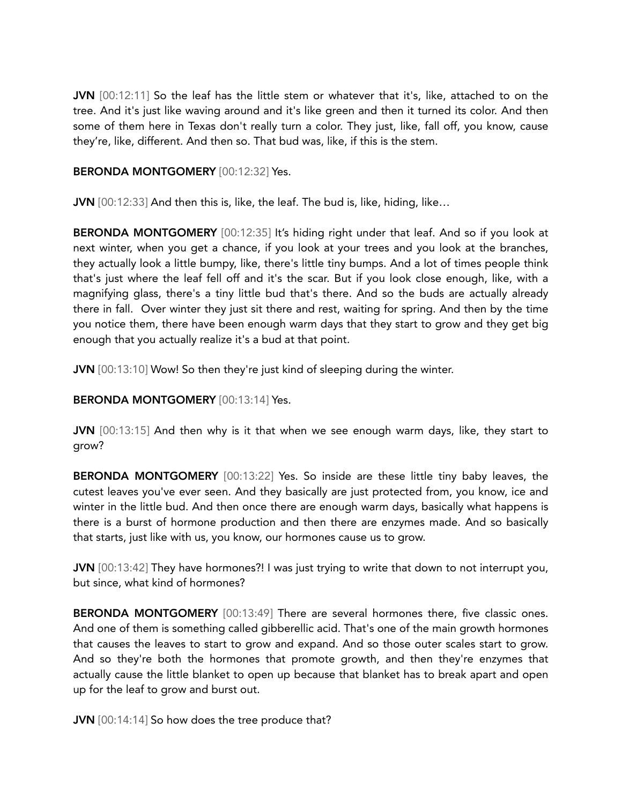JVN [00:12:11] So the leaf has the little stem or whatever that it's, like, attached to on the tree. And it's just like waving around and it's like green and then it turned its color. And then some of them here in Texas don't really turn a color. They just, like, fall off, you know, cause they're, like, different. And then so. That bud was, like, if this is the stem.

## BERONDA MONTGOMERY [00:12:32] Yes.

JVN [00:12:33] And then this is, like, the leaf. The bud is, like, hiding, like...

BERONDA MONTGOMERY [00:12:35] It's hiding right under that leaf. And so if you look at next winter, when you get a chance, if you look at your trees and you look at the branches, they actually look a little bumpy, like, there's little tiny bumps. And a lot of times people think that's just where the leaf fell off and it's the scar. But if you look close enough, like, with a magnifying glass, there's a tiny little bud that's there. And so the buds are actually already there in fall. Over winter they just sit there and rest, waiting for spring. And then by the time you notice them, there have been enough warm days that they start to grow and they get big enough that you actually realize it's a bud at that point.

JVN [00:13:10] Wow! So then they're just kind of sleeping during the winter.

# BERONDA MONTGOMERY [00:13:14] Yes.

JVN [00:13:15] And then why is it that when we see enough warm days, like, they start to grow?

BERONDA MONTGOMERY [00:13:22] Yes. So inside are these little tiny baby leaves, the cutest leaves you've ever seen. And they basically are just protected from, you know, ice and winter in the little bud. And then once there are enough warm days, basically what happens is there is a burst of hormone production and then there are enzymes made. And so basically that starts, just like with us, you know, our hormones cause us to grow.

JVN [00:13:42] They have hormones?! I was just trying to write that down to not interrupt you, but since, what kind of hormones?

BERONDA MONTGOMERY [00:13:49] There are several hormones there, five classic ones. And one of them is something called gibberellic acid. That's one of the main growth hormones that causes the leaves to start to grow and expand. And so those outer scales start to grow. And so they're both the hormones that promote growth, and then they're enzymes that actually cause the little blanket to open up because that blanket has to break apart and open up for the leaf to grow and burst out.

JVN [00:14:14] So how does the tree produce that?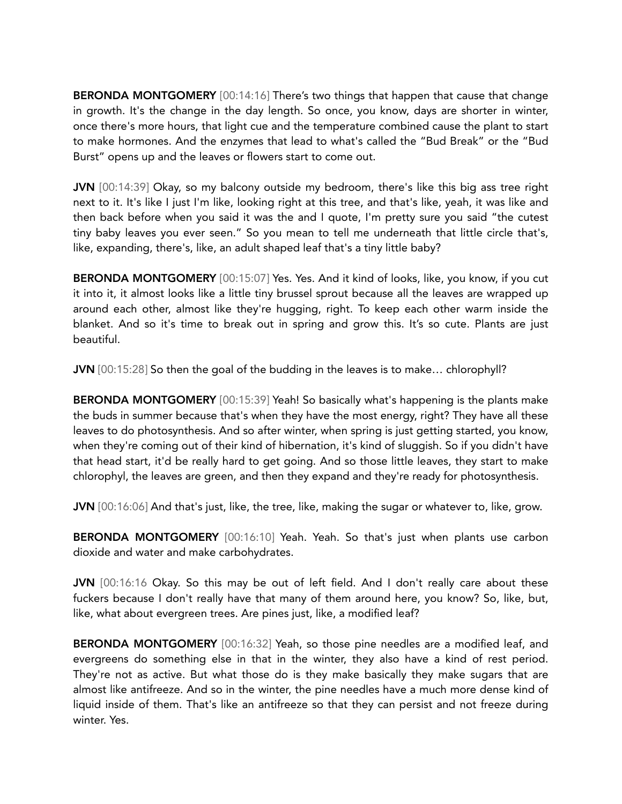BERONDA MONTGOMERY [00:14:16] There's two things that happen that cause that change in growth. It's the change in the day length. So once, you know, days are shorter in winter, once there's more hours, that light cue and the temperature combined cause the plant to start to make hormones. And the enzymes that lead to what's called the "Bud Break" or the "Bud Burst" opens up and the leaves or flowers start to come out.

JVN [00:14:39] Okay, so my balcony outside my bedroom, there's like this big ass tree right next to it. It's like I just I'm like, looking right at this tree, and that's like, yeah, it was like and then back before when you said it was the and I quote, I'm pretty sure you said "the cutest tiny baby leaves you ever seen." So you mean to tell me underneath that little circle that's, like, expanding, there's, like, an adult shaped leaf that's a tiny little baby?

BERONDA MONTGOMERY [00:15:07] Yes. Yes. And it kind of looks, like, you know, if you cut it into it, it almost looks like a little tiny brussel sprout because all the leaves are wrapped up around each other, almost like they're hugging, right. To keep each other warm inside the blanket. And so it's time to break out in spring and grow this. It's so cute. Plants are just beautiful.

JVN [00:15:28] So then the goal of the budding in the leaves is to make… chlorophyll?

BERONDA MONTGOMERY [00:15:39] Yeah! So basically what's happening is the plants make the buds in summer because that's when they have the most energy, right? They have all these leaves to do photosynthesis. And so after winter, when spring is just getting started, you know, when they're coming out of their kind of hibernation, it's kind of sluggish. So if you didn't have that head start, it'd be really hard to get going. And so those little leaves, they start to make chlorophyl, the leaves are green, and then they expand and they're ready for photosynthesis.

JVN [00:16:06] And that's just, like, the tree, like, making the sugar or whatever to, like, grow.

BERONDA MONTGOMERY [00:16:10] Yeah. Yeah. So that's just when plants use carbon dioxide and water and make carbohydrates.

JVN [00:16:16 Okay. So this may be out of left field. And I don't really care about these fuckers because I don't really have that many of them around here, you know? So, like, but, like, what about evergreen trees. Are pines just, like, a modified leaf?

BERONDA MONTGOMERY [00:16:32] Yeah, so those pine needles are a modified leaf, and evergreens do something else in that in the winter, they also have a kind of rest period. They're not as active. But what those do is they make basically they make sugars that are almost like antifreeze. And so in the winter, the pine needles have a much more dense kind of liquid inside of them. That's like an antifreeze so that they can persist and not freeze during winter. Yes.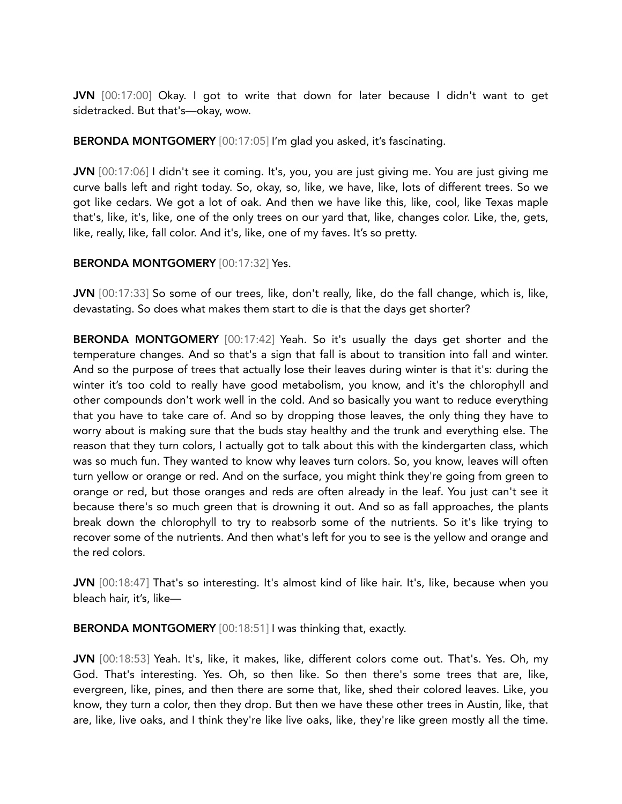JVN [00:17:00] Okay. I got to write that down for later because I didn't want to get sidetracked. But that's—okay, wow.

BERONDA MONTGOMERY [00:17:05] I'm glad you asked, it's fascinating.

JVN [00:17:06] I didn't see it coming. It's, you, you are just giving me. You are just giving me curve balls left and right today. So, okay, so, like, we have, like, lots of different trees. So we got like cedars. We got a lot of oak. And then we have like this, like, cool, like Texas maple that's, like, it's, like, one of the only trees on our yard that, like, changes color. Like, the, gets, like, really, like, fall color. And it's, like, one of my faves. It's so pretty.

## BERONDA MONTGOMERY [00:17:32] Yes.

JVN [00:17:33] So some of our trees, like, don't really, like, do the fall change, which is, like, devastating. So does what makes them start to die is that the days get shorter?

BERONDA MONTGOMERY [00:17:42] Yeah. So it's usually the days get shorter and the temperature changes. And so that's a sign that fall is about to transition into fall and winter. And so the purpose of trees that actually lose their leaves during winter is that it's: during the winter it's too cold to really have good metabolism, you know, and it's the chlorophyll and other compounds don't work well in the cold. And so basically you want to reduce everything that you have to take care of. And so by dropping those leaves, the only thing they have to worry about is making sure that the buds stay healthy and the trunk and everything else. The reason that they turn colors, I actually got to talk about this with the kindergarten class, which was so much fun. They wanted to know why leaves turn colors. So, you know, leaves will often turn yellow or orange or red. And on the surface, you might think they're going from green to orange or red, but those oranges and reds are often already in the leaf. You just can't see it because there's so much green that is drowning it out. And so as fall approaches, the plants break down the chlorophyll to try to reabsorb some of the nutrients. So it's like trying to recover some of the nutrients. And then what's left for you to see is the yellow and orange and the red colors.

JVN [00:18:47] That's so interesting. It's almost kind of like hair. It's, like, because when you bleach hair, it's, like—

BERONDA MONTGOMERY [00:18:51] I was thinking that, exactly.

JVN [00:18:53] Yeah. It's, like, it makes, like, different colors come out. That's. Yes. Oh, my God. That's interesting. Yes. Oh, so then like. So then there's some trees that are, like, evergreen, like, pines, and then there are some that, like, shed their colored leaves. Like, you know, they turn a color, then they drop. But then we have these other trees in Austin, like, that are, like, live oaks, and I think they're like live oaks, like, they're like green mostly all the time.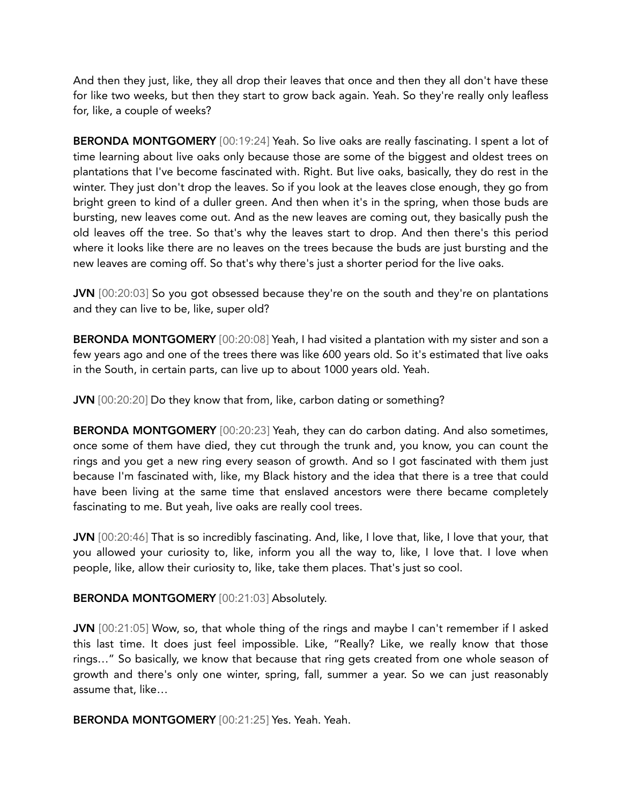And then they just, like, they all drop their leaves that once and then they all don't have these for like two weeks, but then they start to grow back again. Yeah. So they're really only leafless for, like, a couple of weeks?

BERONDA MONTGOMERY [00:19:24] Yeah. So live oaks are really fascinating. I spent a lot of time learning about live oaks only because those are some of the biggest and oldest trees on plantations that I've become fascinated with. Right. But live oaks, basically, they do rest in the winter. They just don't drop the leaves. So if you look at the leaves close enough, they go from bright green to kind of a duller green. And then when it's in the spring, when those buds are bursting, new leaves come out. And as the new leaves are coming out, they basically push the old leaves off the tree. So that's why the leaves start to drop. And then there's this period where it looks like there are no leaves on the trees because the buds are just bursting and the new leaves are coming off. So that's why there's just a shorter period for the live oaks.

JVN [00:20:03] So you got obsessed because they're on the south and they're on plantations and they can live to be, like, super old?

BERONDA MONTGOMERY [00:20:08] Yeah, I had visited a plantation with my sister and son a few years ago and one of the trees there was like 600 years old. So it's estimated that live oaks in the South, in certain parts, can live up to about 1000 years old. Yeah.

JVN [00:20:20] Do they know that from, like, carbon dating or something?

BERONDA MONTGOMERY [00:20:23] Yeah, they can do carbon dating. And also sometimes, once some of them have died, they cut through the trunk and, you know, you can count the rings and you get a new ring every season of growth. And so I got fascinated with them just because I'm fascinated with, like, my Black history and the idea that there is a tree that could have been living at the same time that enslaved ancestors were there became completely fascinating to me. But yeah, live oaks are really cool trees.

JVN [00:20:46] That is so incredibly fascinating. And, like, I love that, like, I love that your, that you allowed your curiosity to, like, inform you all the way to, like, I love that. I love when people, like, allow their curiosity to, like, take them places. That's just so cool.

BERONDA MONTGOMERY [00:21:03] Absolutely.

JVN [00:21:05] Wow, so, that whole thing of the rings and maybe I can't remember if I asked this last time. It does just feel impossible. Like, "Really? Like, we really know that those rings…" So basically, we know that because that ring gets created from one whole season of growth and there's only one winter, spring, fall, summer a year. So we can just reasonably assume that, like…

BERONDA MONTGOMERY [00:21:25] Yes. Yeah. Yeah.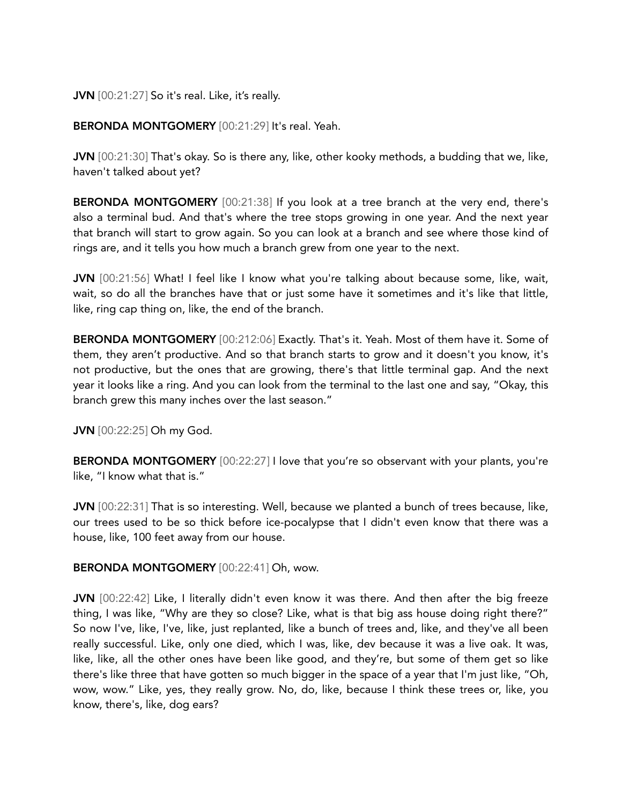## JVN [00:21:27] So it's real. Like, it's really.

# BERONDA MONTGOMERY [00:21:29] It's real. Yeah.

JVN [00:21:30] That's okay. So is there any, like, other kooky methods, a budding that we, like, haven't talked about yet?

BERONDA MONTGOMERY [00:21:38] If you look at a tree branch at the very end, there's also a terminal bud. And that's where the tree stops growing in one year. And the next year that branch will start to grow again. So you can look at a branch and see where those kind of rings are, and it tells you how much a branch grew from one year to the next.

JVN [00:21:56] What! I feel like I know what you're talking about because some, like, wait, wait, so do all the branches have that or just some have it sometimes and it's like that little, like, ring cap thing on, like, the end of the branch.

BERONDA MONTGOMERY [00:212:06] Exactly. That's it. Yeah. Most of them have it. Some of them, they aren't productive. And so that branch starts to grow and it doesn't you know, it's not productive, but the ones that are growing, there's that little terminal gap. And the next year it looks like a ring. And you can look from the terminal to the last one and say, "Okay, this branch grew this many inches over the last season."

JVN [00:22:25] Oh my God.

BERONDA MONTGOMERY [00:22:27] I love that you're so observant with your plants, you're like, "I know what that is."

JVN [00:22:31] That is so interesting. Well, because we planted a bunch of trees because, like, our trees used to be so thick before ice-pocalypse that I didn't even know that there was a house, like, 100 feet away from our house.

BERONDA MONTGOMERY [00:22:41] Oh, wow.

JVN [00:22:42] Like, I literally didn't even know it was there. And then after the big freeze thing, I was like, "Why are they so close? Like, what is that big ass house doing right there?" So now I've, like, I've, like, just replanted, like a bunch of trees and, like, and they've all been really successful. Like, only one died, which I was, like, dev because it was a live oak. It was, like, like, all the other ones have been like good, and they're, but some of them get so like there's like three that have gotten so much bigger in the space of a year that I'm just like, "Oh, wow, wow." Like, yes, they really grow. No, do, like, because I think these trees or, like, you know, there's, like, dog ears?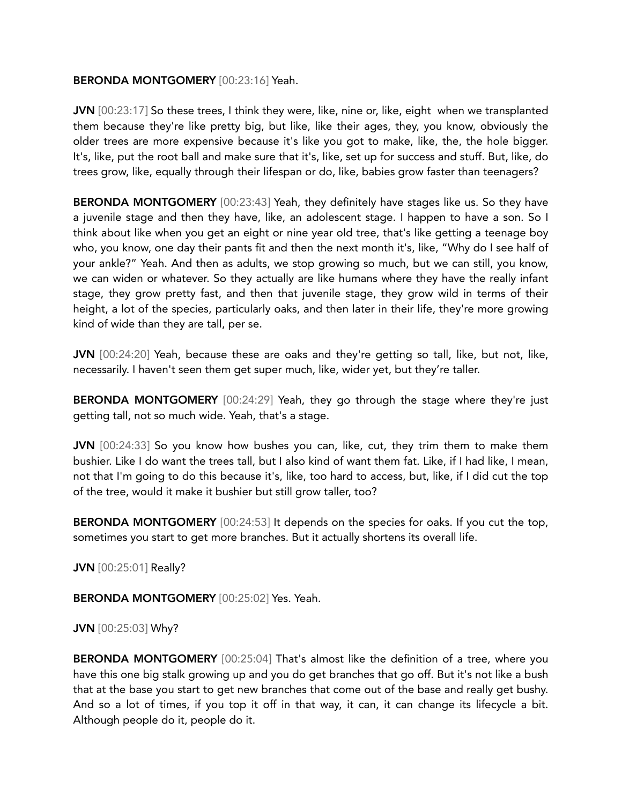## BERONDA MONTGOMERY [00:23:16] Yeah.

JVN [00:23:17] So these trees, I think they were, like, nine or, like, eight when we transplanted them because they're like pretty big, but like, like their ages, they, you know, obviously the older trees are more expensive because it's like you got to make, like, the, the hole bigger. It's, like, put the root ball and make sure that it's, like, set up for success and stuff. But, like, do trees grow, like, equally through their lifespan or do, like, babies grow faster than teenagers?

BERONDA MONTGOMERY [00:23:43] Yeah, they definitely have stages like us. So they have a juvenile stage and then they have, like, an adolescent stage. I happen to have a son. So I think about like when you get an eight or nine year old tree, that's like getting a teenage boy who, you know, one day their pants fit and then the next month it's, like, "Why do I see half of your ankle?" Yeah. And then as adults, we stop growing so much, but we can still, you know, we can widen or whatever. So they actually are like humans where they have the really infant stage, they grow pretty fast, and then that juvenile stage, they grow wild in terms of their height, a lot of the species, particularly oaks, and then later in their life, they're more growing kind of wide than they are tall, per se.

JVN [00:24:20] Yeah, because these are oaks and they're getting so tall, like, but not, like, necessarily. I haven't seen them get super much, like, wider yet, but they're taller.

BERONDA MONTGOMERY [00:24:29] Yeah, they go through the stage where they're just getting tall, not so much wide. Yeah, that's a stage.

JVN [00:24:33] So you know how bushes you can, like, cut, they trim them to make them bushier. Like I do want the trees tall, but I also kind of want them fat. Like, if I had like, I mean, not that I'm going to do this because it's, like, too hard to access, but, like, if I did cut the top of the tree, would it make it bushier but still grow taller, too?

BERONDA MONTGOMERY [00:24:53] It depends on the species for oaks. If you cut the top, sometimes you start to get more branches. But it actually shortens its overall life.

JVN [00:25:01] Really?

# BERONDA MONTGOMERY [00:25:02] Yes. Yeah.

#### JVN [00:25:03] Why?

BERONDA MONTGOMERY [00:25:04] That's almost like the definition of a tree, where you have this one big stalk growing up and you do get branches that go off. But it's not like a bush that at the base you start to get new branches that come out of the base and really get bushy. And so a lot of times, if you top it off in that way, it can, it can change its lifecycle a bit. Although people do it, people do it.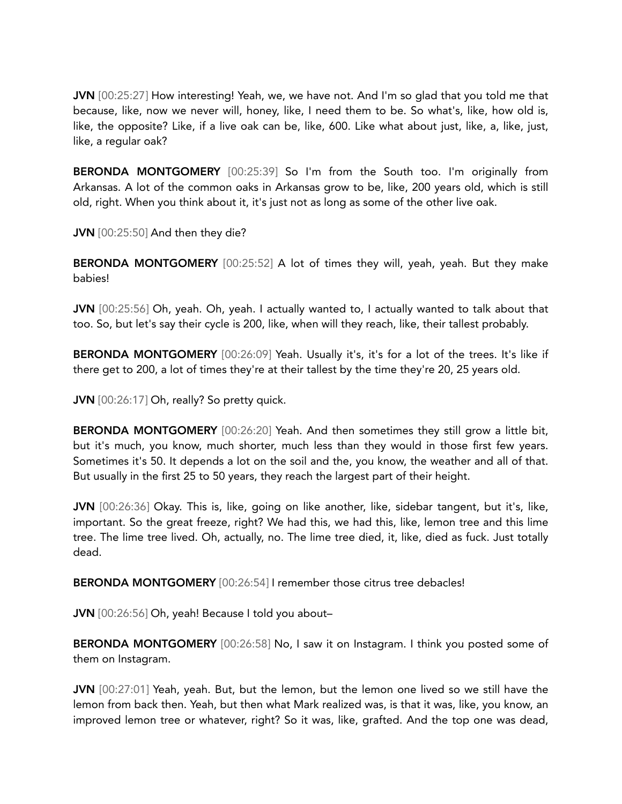JVN [00:25:27] How interesting! Yeah, we, we have not. And I'm so glad that you told me that because, like, now we never will, honey, like, I need them to be. So what's, like, how old is, like, the opposite? Like, if a live oak can be, like, 600. Like what about just, like, a, like, just, like, a regular oak?

BERONDA MONTGOMERY [00:25:39] So I'm from the South too. I'm originally from Arkansas. A lot of the common oaks in Arkansas grow to be, like, 200 years old, which is still old, right. When you think about it, it's just not as long as some of the other live oak.

JVN [00:25:50] And then they die?

BERONDA MONTGOMERY [00:25:52] A lot of times they will, yeah, yeah. But they make babies!

JVN [00:25:56] Oh, yeah. Oh, yeah. I actually wanted to, I actually wanted to talk about that too. So, but let's say their cycle is 200, like, when will they reach, like, their tallest probably.

BERONDA MONTGOMERY [00:26:09] Yeah. Usually it's, it's for a lot of the trees. It's like if there get to 200, a lot of times they're at their tallest by the time they're 20, 25 years old.

JVN [00:26:17] Oh, really? So pretty quick.

BERONDA MONTGOMERY [00:26:20] Yeah. And then sometimes they still grow a little bit, but it's much, you know, much shorter, much less than they would in those first few years. Sometimes it's 50. It depends a lot on the soil and the, you know, the weather and all of that. But usually in the first 25 to 50 years, they reach the largest part of their height.

JVN [00:26:36] Okay. This is, like, going on like another, like, sidebar tangent, but it's, like, important. So the great freeze, right? We had this, we had this, like, lemon tree and this lime tree. The lime tree lived. Oh, actually, no. The lime tree died, it, like, died as fuck. Just totally dead.

BERONDA MONTGOMERY [00:26:54] I remember those citrus tree debacles!

JVN [00:26:56] Oh, yeah! Because I told you about–

BERONDA MONTGOMERY [00:26:58] No, I saw it on Instagram. I think you posted some of them on Instagram.

JVN [00:27:01] Yeah, yeah. But, but the lemon, but the lemon one lived so we still have the lemon from back then. Yeah, but then what Mark realized was, is that it was, like, you know, an improved lemon tree or whatever, right? So it was, like, grafted. And the top one was dead,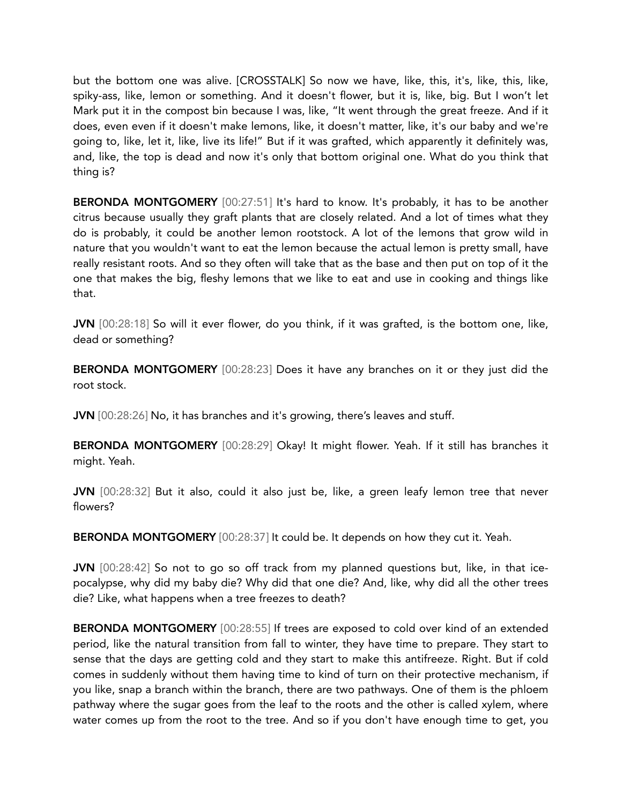but the bottom one was alive. [CROSSTALK] So now we have, like, this, it's, like, this, like, spiky-ass, like, lemon or something. And it doesn't flower, but it is, like, big. But I won't let Mark put it in the compost bin because I was, like, "It went through the great freeze. And if it does, even even if it doesn't make lemons, like, it doesn't matter, like, it's our baby and we're going to, like, let it, like, live its life!" But if it was grafted, which apparently it definitely was, and, like, the top is dead and now it's only that bottom original one. What do you think that thing is?

BERONDA MONTGOMERY [00:27:51] It's hard to know. It's probably, it has to be another citrus because usually they graft plants that are closely related. And a lot of times what they do is probably, it could be another lemon rootstock. A lot of the lemons that grow wild in nature that you wouldn't want to eat the lemon because the actual lemon is pretty small, have really resistant roots. And so they often will take that as the base and then put on top of it the one that makes the big, fleshy lemons that we like to eat and use in cooking and things like that.

JVN [00:28:18] So will it ever flower, do you think, if it was grafted, is the bottom one, like, dead or something?

BERONDA MONTGOMERY [00:28:23] Does it have any branches on it or they just did the root stock.

JVN [00:28:26] No, it has branches and it's growing, there's leaves and stuff.

BERONDA MONTGOMERY [00:28:29] Okay! It might flower. Yeah. If it still has branches it might. Yeah.

JVN [00:28:32] But it also, could it also just be, like, a green leafy lemon tree that never flowers?

BERONDA MONTGOMERY [00:28:37] It could be. It depends on how they cut it. Yeah.

JVN [00:28:42] So not to go so off track from my planned questions but, like, in that icepocalypse, why did my baby die? Why did that one die? And, like, why did all the other trees die? Like, what happens when a tree freezes to death?

BERONDA MONTGOMERY [00:28:55] If trees are exposed to cold over kind of an extended period, like the natural transition from fall to winter, they have time to prepare. They start to sense that the days are getting cold and they start to make this antifreeze. Right. But if cold comes in suddenly without them having time to kind of turn on their protective mechanism, if you like, snap a branch within the branch, there are two pathways. One of them is the phloem pathway where the sugar goes from the leaf to the roots and the other is called xylem, where water comes up from the root to the tree. And so if you don't have enough time to get, you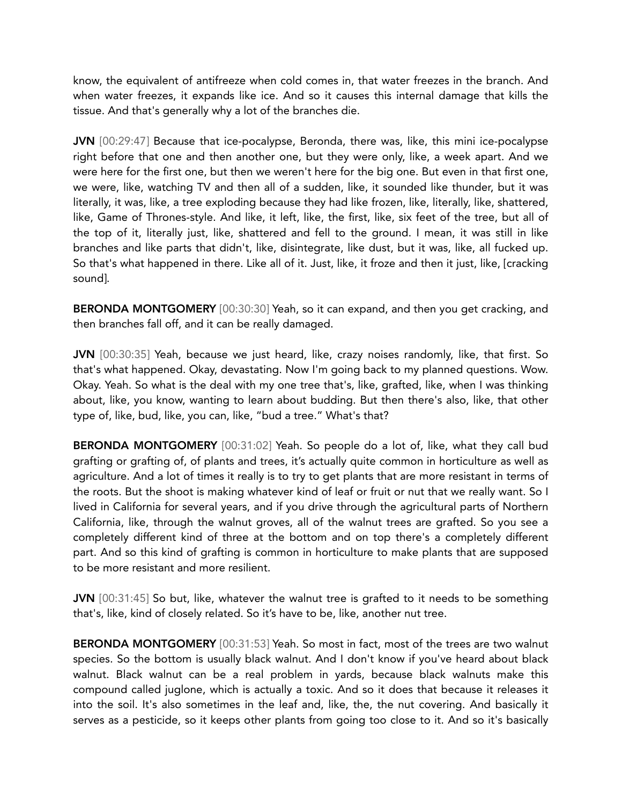know, the equivalent of antifreeze when cold comes in, that water freezes in the branch. And when water freezes, it expands like ice. And so it causes this internal damage that kills the tissue. And that's generally why a lot of the branches die.

JVN [00:29:47] Because that ice-pocalypse, Beronda, there was, like, this mini ice-pocalypse right before that one and then another one, but they were only, like, a week apart. And we were here for the first one, but then we weren't here for the big one. But even in that first one, we were, like, watching TV and then all of a sudden, like, it sounded like thunder, but it was literally, it was, like, a tree exploding because they had like frozen, like, literally, like, shattered, like, Game of Thrones-style. And like, it left, like, the first, like, six feet of the tree, but all of the top of it, literally just, like, shattered and fell to the ground. I mean, it was still in like branches and like parts that didn't, like, disintegrate, like dust, but it was, like, all fucked up. So that's what happened in there. Like all of it. Just, like, it froze and then it just, like, [cracking sound].

BERONDA MONTGOMERY [00:30:30] Yeah, so it can expand, and then you get cracking, and then branches fall off, and it can be really damaged.

JVN [00:30:35] Yeah, because we just heard, like, crazy noises randomly, like, that first. So that's what happened. Okay, devastating. Now I'm going back to my planned questions. Wow. Okay. Yeah. So what is the deal with my one tree that's, like, grafted, like, when I was thinking about, like, you know, wanting to learn about budding. But then there's also, like, that other type of, like, bud, like, you can, like, "bud a tree." What's that?

BERONDA MONTGOMERY [00:31:02] Yeah. So people do a lot of, like, what they call bud grafting or grafting of, of plants and trees, it's actually quite common in horticulture as well as agriculture. And a lot of times it really is to try to get plants that are more resistant in terms of the roots. But the shoot is making whatever kind of leaf or fruit or nut that we really want. So I lived in California for several years, and if you drive through the agricultural parts of Northern California, like, through the walnut groves, all of the walnut trees are grafted. So you see a completely different kind of three at the bottom and on top there's a completely different part. And so this kind of grafting is common in horticulture to make plants that are supposed to be more resistant and more resilient.

JVN [00:31:45] So but, like, whatever the walnut tree is grafted to it needs to be something that's, like, kind of closely related. So it's have to be, like, another nut tree.

BERONDA MONTGOMERY [00:31:53] Yeah. So most in fact, most of the trees are two walnut species. So the bottom is usually black walnut. And I don't know if you've heard about black walnut. Black walnut can be a real problem in yards, because black walnuts make this compound called juglone, which is actually a toxic. And so it does that because it releases it into the soil. It's also sometimes in the leaf and, like, the, the nut covering. And basically it serves as a pesticide, so it keeps other plants from going too close to it. And so it's basically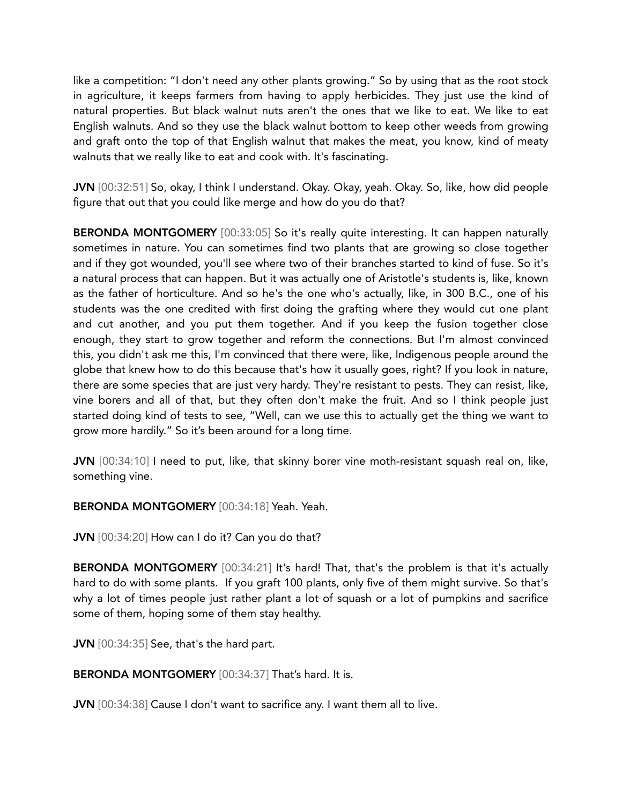like a competition: "I don't need any other plants growing." So by using that as the root stock in agriculture, it keeps farmers from having to apply herbicides. They just use the kind of natural properties. But black walnut nuts aren't the ones that we like to eat. We like to eat English walnuts. And so they use the black walnut bottom to keep other weeds from growing and graft onto the top of that English walnut that makes the meat, you know, kind of meaty walnuts that we really like to eat and cook with. It's fascinating.

JVN [00:32:51] So, okay, I think I understand. Okay. Okay, yeah. Okay. So, like, how did people figure that out that you could like merge and how do you do that?

BERONDA MONTGOMERY [00:33:05] So it's really quite interesting. It can happen naturally sometimes in nature. You can sometimes find two plants that are growing so close together and if they got wounded, you'll see where two of their branches started to kind of fuse. So it's a natural process that can happen. But it was actually one of Aristotle's students is, like, known as the father of horticulture. And so he's the one who's actually, like, in 300 B.C., one of his students was the one credited with first doing the grafting where they would cut one plant and cut another, and you put them together. And if you keep the fusion together close enough, they start to grow together and reform the connections. But I'm almost convinced this, you didn't ask me this, I'm convinced that there were, like, Indigenous people around the globe that knew how to do this because that's how it usually goes, right? If you look in nature, there are some species that are just very hardy. They're resistant to pests. They can resist, like, vine borers and all of that, but they often don't make the fruit. And so I think people just started doing kind of tests to see, "Well, can we use this to actually get the thing we want to grow more hardily." So it's been around for a long time.

JVN [00:34:10] I need to put, like, that skinny borer vine moth-resistant squash real on, like, something vine.

BERONDA MONTGOMERY [00:34:18] Yeah. Yeah.

JVN [00:34:20] How can I do it? Can you do that?

**BERONDA MONTGOMERY** [00:34:21] It's hard! That, that's the problem is that it's actually hard to do with some plants. If you graft 100 plants, only five of them might survive. So that's why a lot of times people just rather plant a lot of squash or a lot of pumpkins and sacrifice some of them, hoping some of them stay healthy.

JVN [00:34:35] See, that's the hard part.

BERONDA MONTGOMERY [00:34:37] That's hard. It is.

JVN [00:34:38] Cause I don't want to sacrifice any. I want them all to live.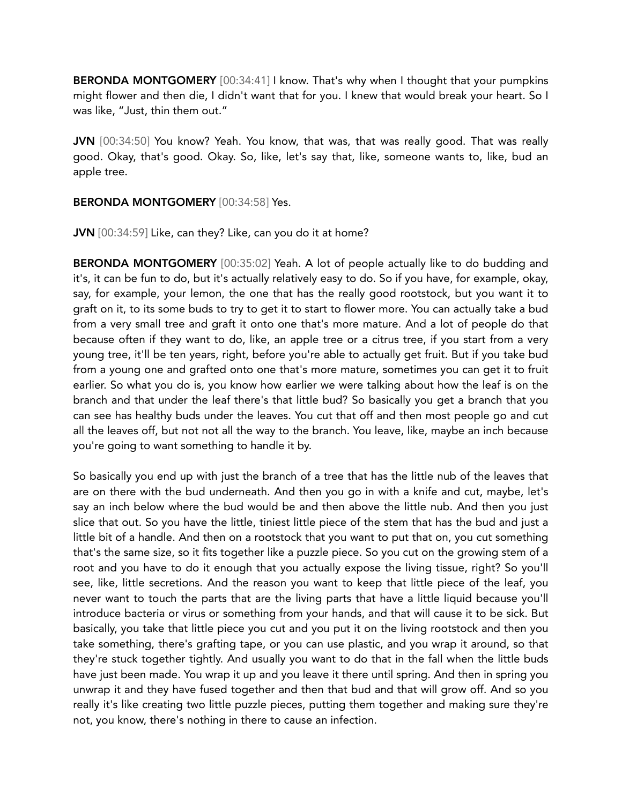BERONDA MONTGOMERY [00:34:41] I know. That's why when I thought that your pumpkins might flower and then die, I didn't want that for you. I knew that would break your heart. So I was like, "Just, thin them out."

JVN [00:34:50] You know? Yeah. You know, that was, that was really good. That was really good. Okay, that's good. Okay. So, like, let's say that, like, someone wants to, like, bud an apple tree.

#### BERONDA MONTGOMERY [00:34:58] Yes.

JVN [00:34:59] Like, can they? Like, can you do it at home?

BERONDA MONTGOMERY [00:35:02] Yeah. A lot of people actually like to do budding and it's, it can be fun to do, but it's actually relatively easy to do. So if you have, for example, okay, say, for example, your lemon, the one that has the really good rootstock, but you want it to graft on it, to its some buds to try to get it to start to flower more. You can actually take a bud from a very small tree and graft it onto one that's more mature. And a lot of people do that because often if they want to do, like, an apple tree or a citrus tree, if you start from a very young tree, it'll be ten years, right, before you're able to actually get fruit. But if you take bud from a young one and grafted onto one that's more mature, sometimes you can get it to fruit earlier. So what you do is, you know how earlier we were talking about how the leaf is on the branch and that under the leaf there's that little bud? So basically you get a branch that you can see has healthy buds under the leaves. You cut that off and then most people go and cut all the leaves off, but not not all the way to the branch. You leave, like, maybe an inch because you're going to want something to handle it by.

So basically you end up with just the branch of a tree that has the little nub of the leaves that are on there with the bud underneath. And then you go in with a knife and cut, maybe, let's say an inch below where the bud would be and then above the little nub. And then you just slice that out. So you have the little, tiniest little piece of the stem that has the bud and just a little bit of a handle. And then on a rootstock that you want to put that on, you cut something that's the same size, so it fits together like a puzzle piece. So you cut on the growing stem of a root and you have to do it enough that you actually expose the living tissue, right? So you'll see, like, little secretions. And the reason you want to keep that little piece of the leaf, you never want to touch the parts that are the living parts that have a little liquid because you'll introduce bacteria or virus or something from your hands, and that will cause it to be sick. But basically, you take that little piece you cut and you put it on the living rootstock and then you take something, there's grafting tape, or you can use plastic, and you wrap it around, so that they're stuck together tightly. And usually you want to do that in the fall when the little buds have just been made. You wrap it up and you leave it there until spring. And then in spring you unwrap it and they have fused together and then that bud and that will grow off. And so you really it's like creating two little puzzle pieces, putting them together and making sure they're not, you know, there's nothing in there to cause an infection.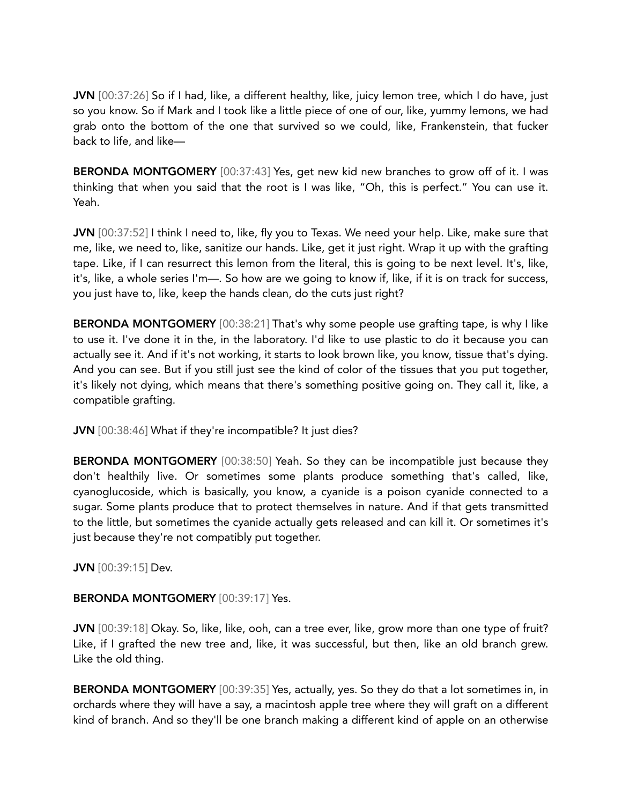JVN [00:37:26] So if I had, like, a different healthy, like, juicy lemon tree, which I do have, just so you know. So if Mark and I took like a little piece of one of our, like, yummy lemons, we had grab onto the bottom of the one that survived so we could, like, Frankenstein, that fucker back to life, and like—

BERONDA MONTGOMERY [00:37:43] Yes, get new kid new branches to grow off of it. I was thinking that when you said that the root is I was like, "Oh, this is perfect." You can use it. Yeah.

JVN [00:37:52] I think I need to, like, fly you to Texas. We need your help. Like, make sure that me, like, we need to, like, sanitize our hands. Like, get it just right. Wrap it up with the grafting tape. Like, if I can resurrect this lemon from the literal, this is going to be next level. It's, like, it's, like, a whole series I'm—. So how are we going to know if, like, if it is on track for success, you just have to, like, keep the hands clean, do the cuts just right?

BERONDA MONTGOMERY [00:38:21] That's why some people use grafting tape, is why I like to use it. I've done it in the, in the laboratory. I'd like to use plastic to do it because you can actually see it. And if it's not working, it starts to look brown like, you know, tissue that's dying. And you can see. But if you still just see the kind of color of the tissues that you put together, it's likely not dying, which means that there's something positive going on. They call it, like, a compatible grafting.

JVN [00:38:46] What if they're incompatible? It just dies?

BERONDA MONTGOMERY [00:38:50] Yeah. So they can be incompatible just because they don't healthily live. Or sometimes some plants produce something that's called, like, cyanoglucoside, which is basically, you know, a cyanide is a poison cyanide connected to a sugar. Some plants produce that to protect themselves in nature. And if that gets transmitted to the little, but sometimes the cyanide actually gets released and can kill it. Or sometimes it's just because they're not compatibly put together.

JVN [00:39:15] Dev.

# BERONDA MONTGOMERY [00:39:17] Yes.

JVN [00:39:18] Okay. So, like, like, ooh, can a tree ever, like, grow more than one type of fruit? Like, if I grafted the new tree and, like, it was successful, but then, like an old branch grew. Like the old thing.

BERONDA MONTGOMERY [00:39:35] Yes, actually, yes. So they do that a lot sometimes in, in orchards where they will have a say, a macintosh apple tree where they will graft on a different kind of branch. And so they'll be one branch making a different kind of apple on an otherwise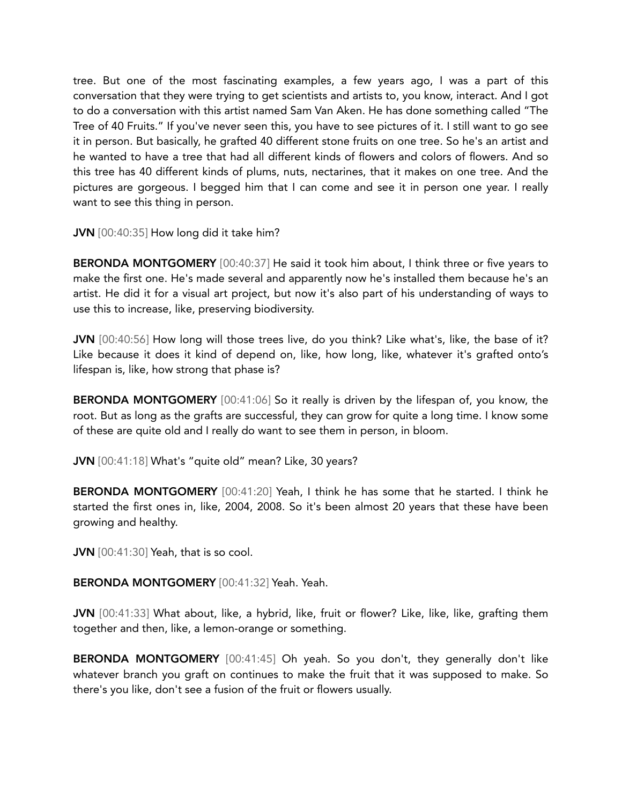tree. But one of the most fascinating examples, a few years ago, I was a part of this conversation that they were trying to get scientists and artists to, you know, interact. And I got to do a conversation with this artist named Sam Van Aken. He has done something called "The Tree of 40 Fruits." If you've never seen this, you have to see pictures of it. I still want to go see it in person. But basically, he grafted 40 different stone fruits on one tree. So he's an artist and he wanted to have a tree that had all different kinds of flowers and colors of flowers. And so this tree has 40 different kinds of plums, nuts, nectarines, that it makes on one tree. And the pictures are gorgeous. I begged him that I can come and see it in person one year. I really want to see this thing in person.

JVN [00:40:35] How long did it take him?

BERONDA MONTGOMERY [00:40:37] He said it took him about, I think three or five years to make the first one. He's made several and apparently now he's installed them because he's an artist. He did it for a visual art project, but now it's also part of his understanding of ways to use this to increase, like, preserving biodiversity.

JVN [00:40:56] How long will those trees live, do you think? Like what's, like, the base of it? Like because it does it kind of depend on, like, how long, like, whatever it's grafted onto's lifespan is, like, how strong that phase is?

**BERONDA MONTGOMERY** [00:41:06] So it really is driven by the lifespan of, you know, the root. But as long as the grafts are successful, they can grow for quite a long time. I know some of these are quite old and I really do want to see them in person, in bloom.

JVN [00:41:18] What's "quite old" mean? Like, 30 years?

BERONDA MONTGOMERY [00:41:20] Yeah, I think he has some that he started. I think he started the first ones in, like, 2004, 2008. So it's been almost 20 years that these have been growing and healthy.

JVN [00:41:30] Yeah, that is so cool.

BERONDA MONTGOMERY [00:41:32] Yeah. Yeah.

JVN [00:41:33] What about, like, a hybrid, like, fruit or flower? Like, like, like, grafting them together and then, like, a lemon-orange or something.

BERONDA MONTGOMERY [00:41:45] Oh yeah. So you don't, they generally don't like whatever branch you graft on continues to make the fruit that it was supposed to make. So there's you like, don't see a fusion of the fruit or flowers usually.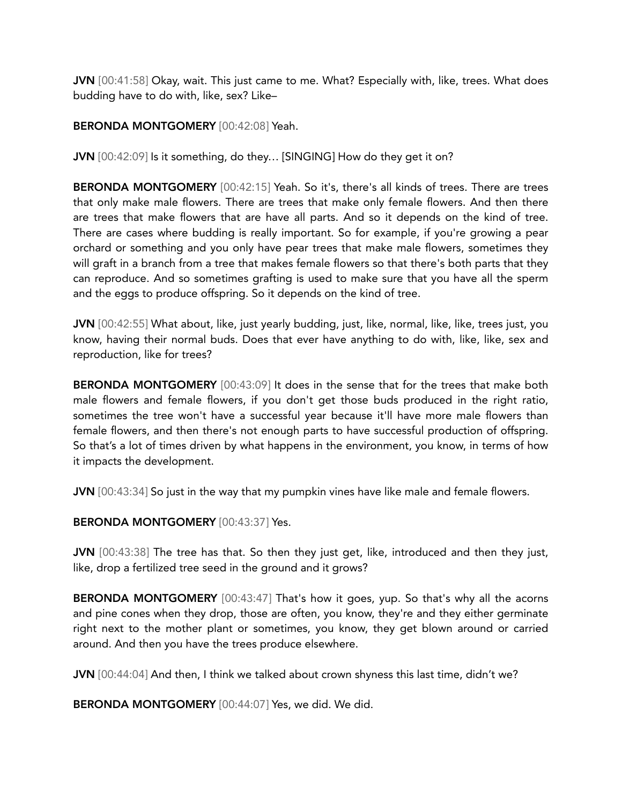JVN [00:41:58] Okay, wait. This just came to me. What? Especially with, like, trees. What does budding have to do with, like, sex? Like–

# BERONDA MONTGOMERY [00:42:08] Yeah.

JVN [00:42:09] Is it something, do they… [SINGING] How do they get it on?

BERONDA MONTGOMERY [00:42:15] Yeah. So it's, there's all kinds of trees. There are trees that only make male flowers. There are trees that make only female flowers. And then there are trees that make flowers that are have all parts. And so it depends on the kind of tree. There are cases where budding is really important. So for example, if you're growing a pear orchard or something and you only have pear trees that make male flowers, sometimes they will graft in a branch from a tree that makes female flowers so that there's both parts that they can reproduce. And so sometimes grafting is used to make sure that you have all the sperm and the eggs to produce offspring. So it depends on the kind of tree.

JVN [00:42:55] What about, like, just yearly budding, just, like, normal, like, like, trees just, you know, having their normal buds. Does that ever have anything to do with, like, like, sex and reproduction, like for trees?

BERONDA MONTGOMERY [00:43:09] It does in the sense that for the trees that make both male flowers and female flowers, if you don't get those buds produced in the right ratio, sometimes the tree won't have a successful year because it'll have more male flowers than female flowers, and then there's not enough parts to have successful production of offspring. So that's a lot of times driven by what happens in the environment, you know, in terms of how it impacts the development.

JVN [00:43:34] So just in the way that my pumpkin vines have like male and female flowers.

BERONDA MONTGOMERY [00:43:37] Yes.

JVN [00:43:38] The tree has that. So then they just get, like, introduced and then they just, like, drop a fertilized tree seed in the ground and it grows?

BERONDA MONTGOMERY [00:43:47] That's how it goes, yup. So that's why all the acorns and pine cones when they drop, those are often, you know, they're and they either germinate right next to the mother plant or sometimes, you know, they get blown around or carried around. And then you have the trees produce elsewhere.

JVN [00:44:04] And then, I think we talked about crown shyness this last time, didn't we?

BERONDA MONTGOMERY [00:44:07] Yes, we did. We did.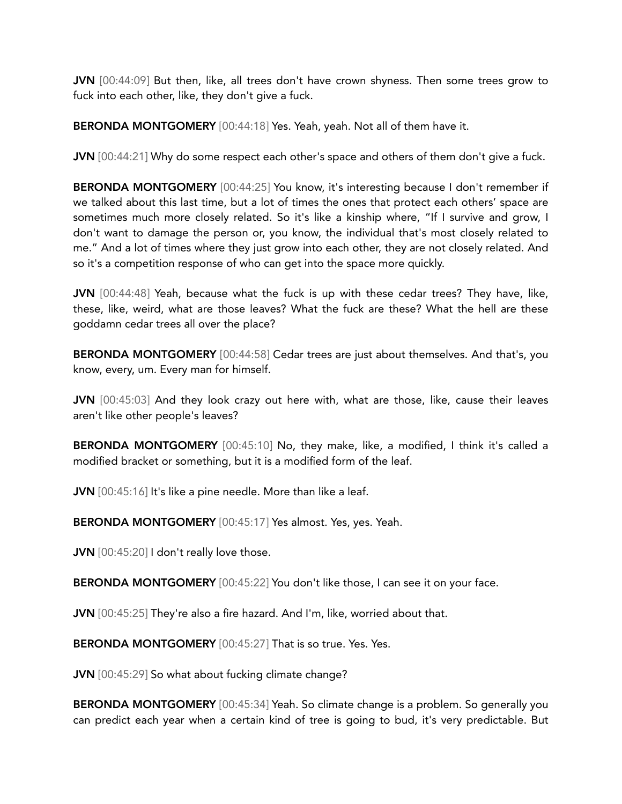JVN [00:44:09] But then, like, all trees don't have crown shyness. Then some trees grow to fuck into each other, like, they don't give a fuck.

BERONDA MONTGOMERY [00:44:18] Yes. Yeah, yeah. Not all of them have it.

JVN [00:44:21] Why do some respect each other's space and others of them don't give a fuck.

BERONDA MONTGOMERY [00:44:25] You know, it's interesting because I don't remember if we talked about this last time, but a lot of times the ones that protect each others' space are sometimes much more closely related. So it's like a kinship where, "If I survive and grow, I don't want to damage the person or, you know, the individual that's most closely related to me." And a lot of times where they just grow into each other, they are not closely related. And so it's a competition response of who can get into the space more quickly.

JVN [00:44:48] Yeah, because what the fuck is up with these cedar trees? They have, like, these, like, weird, what are those leaves? What the fuck are these? What the hell are these goddamn cedar trees all over the place?

BERONDA MONTGOMERY [00:44:58] Cedar trees are just about themselves. And that's, you know, every, um. Every man for himself.

JVN [00:45:03] And they look crazy out here with, what are those, like, cause their leaves aren't like other people's leaves?

BERONDA MONTGOMERY [00:45:10] No, they make, like, a modified, I think it's called a modified bracket or something, but it is a modified form of the leaf.

JVN [00:45:16] It's like a pine needle. More than like a leaf.

BERONDA MONTGOMERY [00:45:17] Yes almost. Yes, yes. Yeah.

JVN [00:45:20] I don't really love those.

BERONDA MONTGOMERY [00:45:22] You don't like those, I can see it on your face.

JVN [00:45:25] They're also a fire hazard. And I'm, like, worried about that.

BERONDA MONTGOMERY [00:45:27] That is so true. Yes. Yes.

JVN [00:45:29] So what about fucking climate change?

BERONDA MONTGOMERY [00:45:34] Yeah. So climate change is a problem. So generally you can predict each year when a certain kind of tree is going to bud, it's very predictable. But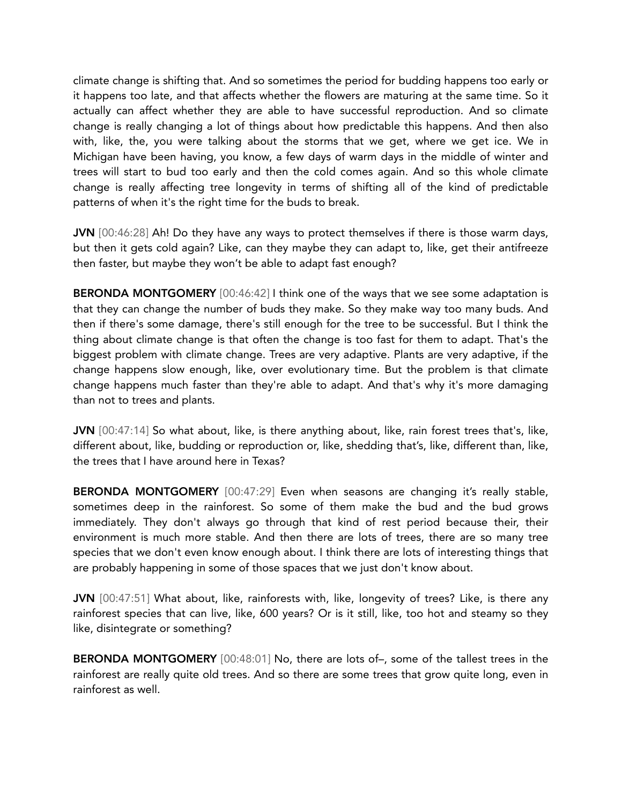climate change is shifting that. And so sometimes the period for budding happens too early or it happens too late, and that affects whether the flowers are maturing at the same time. So it actually can affect whether they are able to have successful reproduction. And so climate change is really changing a lot of things about how predictable this happens. And then also with, like, the, you were talking about the storms that we get, where we get ice. We in Michigan have been having, you know, a few days of warm days in the middle of winter and trees will start to bud too early and then the cold comes again. And so this whole climate change is really affecting tree longevity in terms of shifting all of the kind of predictable patterns of when it's the right time for the buds to break.

JVN [00:46:28] Ah! Do they have any ways to protect themselves if there is those warm days, but then it gets cold again? Like, can they maybe they can adapt to, like, get their antifreeze then faster, but maybe they won't be able to adapt fast enough?

BERONDA MONTGOMERY [00:46:42] I think one of the ways that we see some adaptation is that they can change the number of buds they make. So they make way too many buds. And then if there's some damage, there's still enough for the tree to be successful. But I think the thing about climate change is that often the change is too fast for them to adapt. That's the biggest problem with climate change. Trees are very adaptive. Plants are very adaptive, if the change happens slow enough, like, over evolutionary time. But the problem is that climate change happens much faster than they're able to adapt. And that's why it's more damaging than not to trees and plants.

JVN [00:47:14] So what about, like, is there anything about, like, rain forest trees that's, like, different about, like, budding or reproduction or, like, shedding that's, like, different than, like, the trees that I have around here in Texas?

BERONDA MONTGOMERY [00:47:29] Even when seasons are changing it's really stable, sometimes deep in the rainforest. So some of them make the bud and the bud grows immediately. They don't always go through that kind of rest period because their, their environment is much more stable. And then there are lots of trees, there are so many tree species that we don't even know enough about. I think there are lots of interesting things that are probably happening in some of those spaces that we just don't know about.

JVN [00:47:51] What about, like, rainforests with, like, longevity of trees? Like, is there any rainforest species that can live, like, 600 years? Or is it still, like, too hot and steamy so they like, disintegrate or something?

BERONDA MONTGOMERY [00:48:01] No, there are lots of–, some of the tallest trees in the rainforest are really quite old trees. And so there are some trees that grow quite long, even in rainforest as well.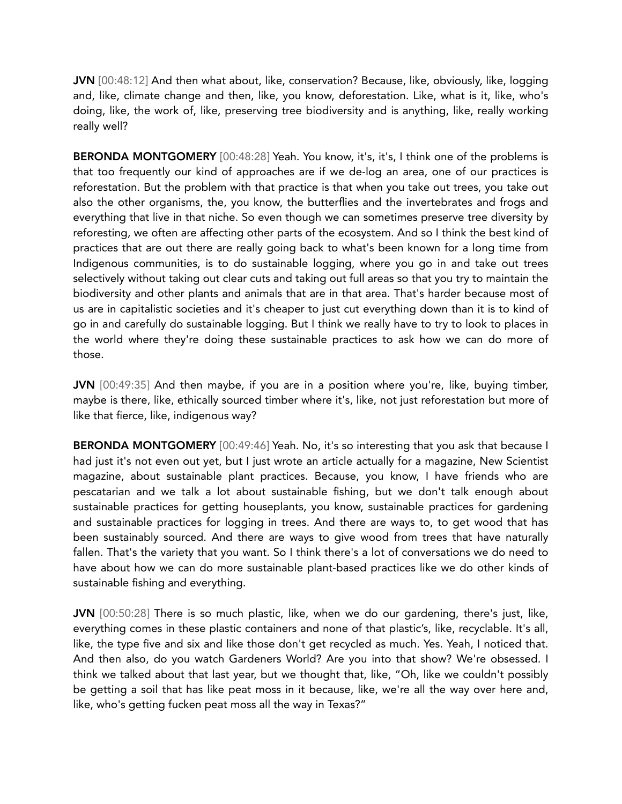JVN [00:48:12] And then what about, like, conservation? Because, like, obviously, like, logging and, like, climate change and then, like, you know, deforestation. Like, what is it, like, who's doing, like, the work of, like, preserving tree biodiversity and is anything, like, really working really well?

BERONDA MONTGOMERY [00:48:28] Yeah. You know, it's, it's, I think one of the problems is that too frequently our kind of approaches are if we de-log an area, one of our practices is reforestation. But the problem with that practice is that when you take out trees, you take out also the other organisms, the, you know, the butterflies and the invertebrates and frogs and everything that live in that niche. So even though we can sometimes preserve tree diversity by reforesting, we often are affecting other parts of the ecosystem. And so I think the best kind of practices that are out there are really going back to what's been known for a long time from Indigenous communities, is to do sustainable logging, where you go in and take out trees selectively without taking out clear cuts and taking out full areas so that you try to maintain the biodiversity and other plants and animals that are in that area. That's harder because most of us are in capitalistic societies and it's cheaper to just cut everything down than it is to kind of go in and carefully do sustainable logging. But I think we really have to try to look to places in the world where they're doing these sustainable practices to ask how we can do more of those.

JVN [00:49:35] And then maybe, if you are in a position where you're, like, buying timber, maybe is there, like, ethically sourced timber where it's, like, not just reforestation but more of like that fierce, like, indigenous way?

BERONDA MONTGOMERY [00:49:46] Yeah. No, it's so interesting that you ask that because I had just it's not even out yet, but I just wrote an article actually for a magazine, New Scientist magazine, about sustainable plant practices. Because, you know, I have friends who are pescatarian and we talk a lot about sustainable fishing, but we don't talk enough about sustainable practices for getting houseplants, you know, sustainable practices for gardening and sustainable practices for logging in trees. And there are ways to, to get wood that has been sustainably sourced. And there are ways to give wood from trees that have naturally fallen. That's the variety that you want. So I think there's a lot of conversations we do need to have about how we can do more sustainable plant-based practices like we do other kinds of sustainable fishing and everything.

JVN [00:50:28] There is so much plastic, like, when we do our gardening, there's just, like, everything comes in these plastic containers and none of that plastic's, like, recyclable. It's all, like, the type five and six and like those don't get recycled as much. Yes. Yeah, I noticed that. And then also, do you watch Gardeners World? Are you into that show? We're obsessed. I think we talked about that last year, but we thought that, like, "Oh, like we couldn't possibly be getting a soil that has like peat moss in it because, like, we're all the way over here and, like, who's getting fucken peat moss all the way in Texas?"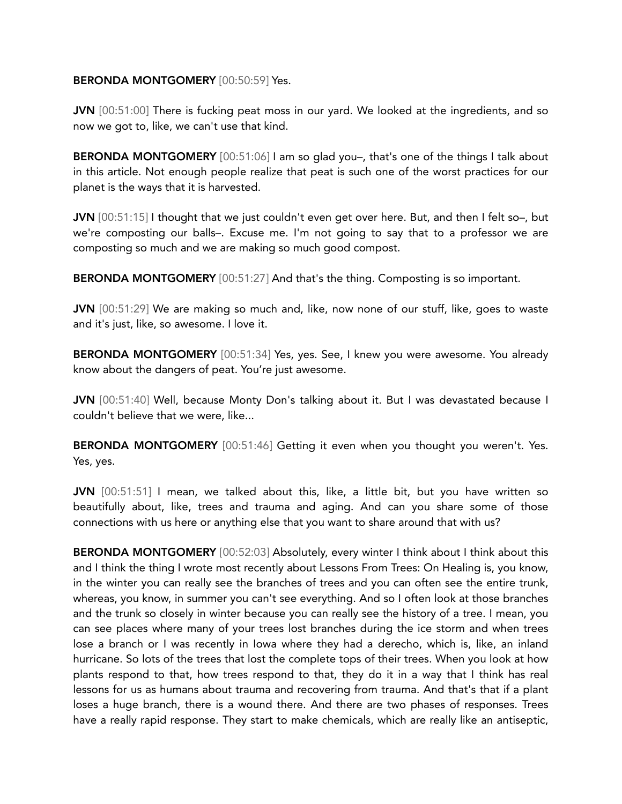## BERONDA MONTGOMERY [00:50:59] Yes.

JVN [00:51:00] There is fucking peat moss in our yard. We looked at the ingredients, and so now we got to, like, we can't use that kind.

BERONDA MONTGOMERY [00:51:06] I am so glad you-, that's one of the things I talk about in this article. Not enough people realize that peat is such one of the worst practices for our planet is the ways that it is harvested.

JVN [00:51:15] I thought that we just couldn't even get over here. But, and then I felt so-, but we're composting our balls–. Excuse me. I'm not going to say that to a professor we are composting so much and we are making so much good compost.

BERONDA MONTGOMERY [00:51:27] And that's the thing. Composting is so important.

JVN [00:51:29] We are making so much and, like, now none of our stuff, like, goes to waste and it's just, like, so awesome. I love it.

BERONDA MONTGOMERY [00:51:34] Yes, yes. See, I knew you were awesome. You already know about the dangers of peat. You're just awesome.

JVN [00:51:40] Well, because Monty Don's talking about it. But I was devastated because I couldn't believe that we were, like...

BERONDA MONTGOMERY [00:51:46] Getting it even when you thought you weren't. Yes. Yes, yes.

JVN [00:51:51] I mean, we talked about this, like, a little bit, but you have written so beautifully about, like, trees and trauma and aging. And can you share some of those connections with us here or anything else that you want to share around that with us?

BERONDA MONTGOMERY [00:52:03] Absolutely, every winter I think about I think about this and I think the thing I wrote most recently about Lessons From Trees: On Healing is, you know, in the winter you can really see the branches of trees and you can often see the entire trunk, whereas, you know, in summer you can't see everything. And so I often look at those branches and the trunk so closely in winter because you can really see the history of a tree. I mean, you can see places where many of your trees lost branches during the ice storm and when trees lose a branch or I was recently in Iowa where they had a derecho, which is, like, an inland hurricane. So lots of the trees that lost the complete tops of their trees. When you look at how plants respond to that, how trees respond to that, they do it in a way that I think has real lessons for us as humans about trauma and recovering from trauma. And that's that if a plant loses a huge branch, there is a wound there. And there are two phases of responses. Trees have a really rapid response. They start to make chemicals, which are really like an antiseptic,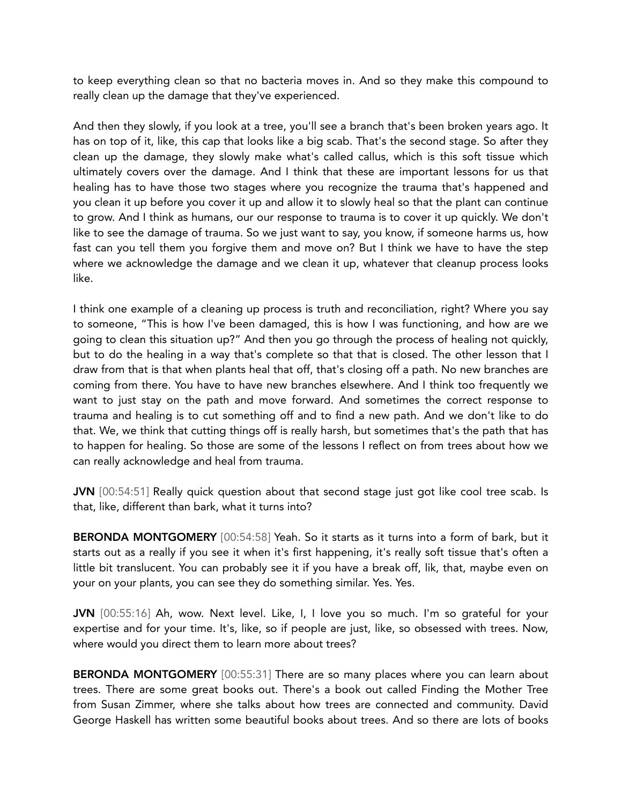to keep everything clean so that no bacteria moves in. And so they make this compound to really clean up the damage that they've experienced.

And then they slowly, if you look at a tree, you'll see a branch that's been broken years ago. It has on top of it, like, this cap that looks like a big scab. That's the second stage. So after they clean up the damage, they slowly make what's called callus, which is this soft tissue which ultimately covers over the damage. And I think that these are important lessons for us that healing has to have those two stages where you recognize the trauma that's happened and you clean it up before you cover it up and allow it to slowly heal so that the plant can continue to grow. And I think as humans, our our response to trauma is to cover it up quickly. We don't like to see the damage of trauma. So we just want to say, you know, if someone harms us, how fast can you tell them you forgive them and move on? But I think we have to have the step where we acknowledge the damage and we clean it up, whatever that cleanup process looks like.

I think one example of a cleaning up process is truth and reconciliation, right? Where you say to someone, "This is how I've been damaged, this is how I was functioning, and how are we going to clean this situation up?" And then you go through the process of healing not quickly, but to do the healing in a way that's complete so that that is closed. The other lesson that I draw from that is that when plants heal that off, that's closing off a path. No new branches are coming from there. You have to have new branches elsewhere. And I think too frequently we want to just stay on the path and move forward. And sometimes the correct response to trauma and healing is to cut something off and to find a new path. And we don't like to do that. We, we think that cutting things off is really harsh, but sometimes that's the path that has to happen for healing. So those are some of the lessons I reflect on from trees about how we can really acknowledge and heal from trauma.

JVN [00:54:51] Really quick question about that second stage just got like cool tree scab. Is that, like, different than bark, what it turns into?

BERONDA MONTGOMERY [00:54:58] Yeah. So it starts as it turns into a form of bark, but it starts out as a really if you see it when it's first happening, it's really soft tissue that's often a little bit translucent. You can probably see it if you have a break off, lik, that, maybe even on your on your plants, you can see they do something similar. Yes. Yes.

JVN [00:55:16] Ah, wow. Next level. Like, I, I love you so much. I'm so grateful for your expertise and for your time. It's, like, so if people are just, like, so obsessed with trees. Now, where would you direct them to learn more about trees?

BERONDA MONTGOMERY [00:55:31] There are so many places where you can learn about trees. There are some great books out. There's a book out called Finding the Mother Tree from Susan Zimmer, where she talks about how trees are connected and community. David George Haskell has written some beautiful books about trees. And so there are lots of books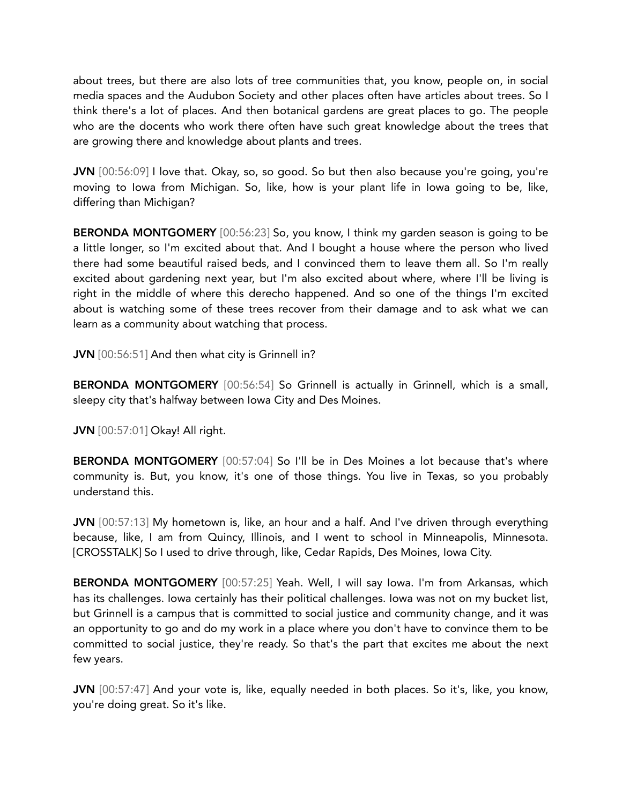about trees, but there are also lots of tree communities that, you know, people on, in social media spaces and the Audubon Society and other places often have articles about trees. So I think there's a lot of places. And then botanical gardens are great places to go. The people who are the docents who work there often have such great knowledge about the trees that are growing there and knowledge about plants and trees.

JVN [00:56:09] I love that. Okay, so, so good. So but then also because you're going, you're moving to Iowa from Michigan. So, like, how is your plant life in Iowa going to be, like, differing than Michigan?

BERONDA MONTGOMERY [00:56:23] So, you know, I think my garden season is going to be a little longer, so I'm excited about that. And I bought a house where the person who lived there had some beautiful raised beds, and I convinced them to leave them all. So I'm really excited about gardening next year, but I'm also excited about where, where I'll be living is right in the middle of where this derecho happened. And so one of the things I'm excited about is watching some of these trees recover from their damage and to ask what we can learn as a community about watching that process.

JVN [00:56:51] And then what city is Grinnell in?

BERONDA MONTGOMERY [00:56:54] So Grinnell is actually in Grinnell, which is a small, sleepy city that's halfway between Iowa City and Des Moines.

JVN [00:57:01] Okay! All right.

BERONDA MONTGOMERY [00:57:04] So I'll be in Des Moines a lot because that's where community is. But, you know, it's one of those things. You live in Texas, so you probably understand this.

JVN [00:57:13] My hometown is, like, an hour and a half. And I've driven through everything because, like, I am from Quincy, Illinois, and I went to school in Minneapolis, Minnesota. [CROSSTALK] So I used to drive through, like, Cedar Rapids, Des Moines, Iowa City.

BERONDA MONTGOMERY [00:57:25] Yeah. Well, I will say Iowa. I'm from Arkansas, which has its challenges. Iowa certainly has their political challenges. Iowa was not on my bucket list, but Grinnell is a campus that is committed to social justice and community change, and it was an opportunity to go and do my work in a place where you don't have to convince them to be committed to social justice, they're ready. So that's the part that excites me about the next few years.

JVN [00:57:47] And your vote is, like, equally needed in both places. So it's, like, you know, you're doing great. So it's like.